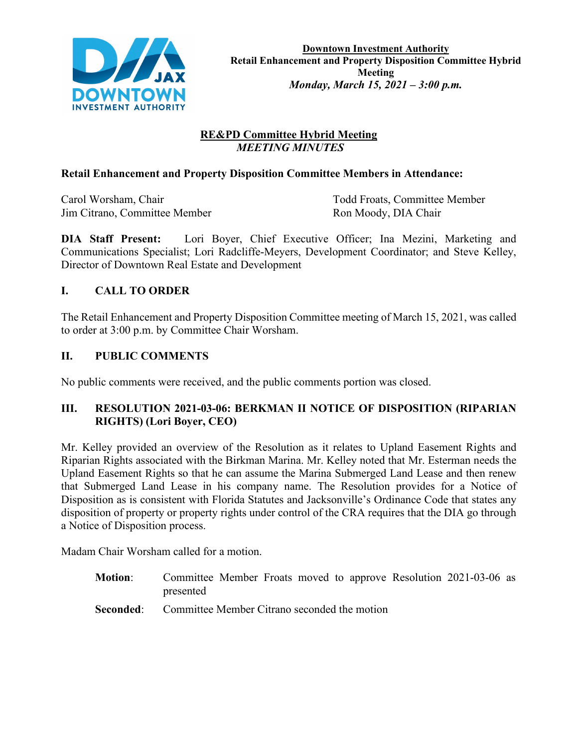

### **RE&PD Committee Hybrid Meeting**  *MEETING MINUTES*

#### **Retail Enhancement and Property Disposition Committee Members in Attendance:**

Jim Citrano, Committee Member Ron Moody, DIA Chair

Carol Worsham, Chair Todd Froats, Committee Member

**DIA Staff Present:** Lori Boyer, Chief Executive Officer; Ina Mezini, Marketing and Communications Specialist; Lori Radcliffe-Meyers, Development Coordinator; and Steve Kelley, Director of Downtown Real Estate and Development

# **I. CALL TO ORDER**

The Retail Enhancement and Property Disposition Committee meeting of March 15, 2021, was called to order at 3:00 p.m. by Committee Chair Worsham.

### **II. PUBLIC COMMENTS**

No public comments were received, and the public comments portion was closed.

#### **III. RESOLUTION 2021-03-06: BERKMAN II NOTICE OF DISPOSITION (RIPARIAN RIGHTS) (Lori Boyer, CEO)**

Mr. Kelley provided an overview of the Resolution as it relates to Upland Easement Rights and Riparian Rights associated with the Birkman Marina. Mr. Kelley noted that Mr. Esterman needs the Upland Easement Rights so that he can assume the Marina Submerged Land Lease and then renew that Submerged Land Lease in his company name. The Resolution provides for a Notice of Disposition as is consistent with Florida Statutes and Jacksonville's Ordinance Code that states any disposition of property or property rights under control of the CRA requires that the DIA go through a Notice of Disposition process.

Madam Chair Worsham called for a motion.

- **Motion**: Committee Member Froats moved to approve Resolution 2021-03-06 as presented
- **Seconded:** Committee Member Citrano seconded the motion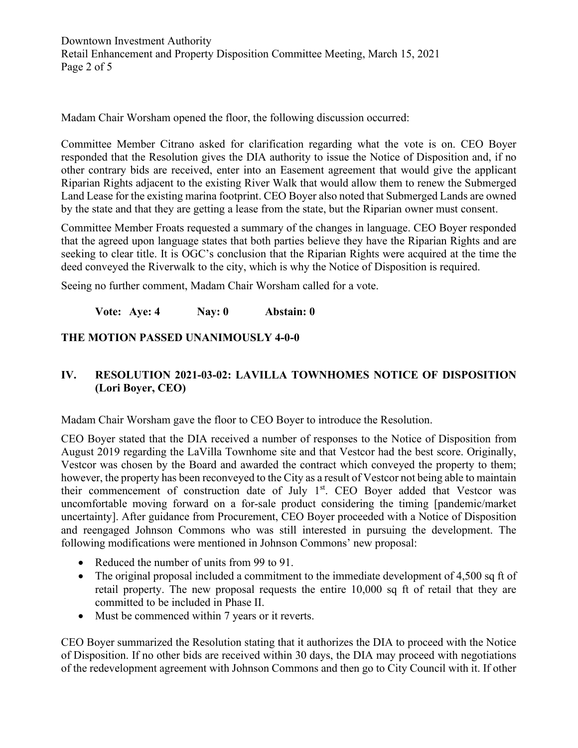Madam Chair Worsham opened the floor, the following discussion occurred:

Committee Member Citrano asked for clarification regarding what the vote is on. CEO Boyer responded that the Resolution gives the DIA authority to issue the Notice of Disposition and, if no other contrary bids are received, enter into an Easement agreement that would give the applicant Riparian Rights adjacent to the existing River Walk that would allow them to renew the Submerged Land Lease for the existing marina footprint. CEO Boyer also noted that Submerged Lands are owned by the state and that they are getting a lease from the state, but the Riparian owner must consent.

Committee Member Froats requested a summary of the changes in language. CEO Boyer responded that the agreed upon language states that both parties believe they have the Riparian Rights and are seeking to clear title. It is OGC's conclusion that the Riparian Rights were acquired at the time the deed conveyed the Riverwalk to the city, which is why the Notice of Disposition is required.

Seeing no further comment, Madam Chair Worsham called for a vote.

**Vote: Aye: 4 Nay: 0 Abstain: 0** 

# **THE MOTION PASSED UNANIMOUSLY 4-0-0**

### **IV. RESOLUTION 2021-03-02: LAVILLA TOWNHOMES NOTICE OF DISPOSITION (Lori Boyer, CEO)**

Madam Chair Worsham gave the floor to CEO Boyer to introduce the Resolution.

CEO Boyer stated that the DIA received a number of responses to the Notice of Disposition from August 2019 regarding the LaVilla Townhome site and that Vestcor had the best score. Originally, Vestcor was chosen by the Board and awarded the contract which conveyed the property to them; however, the property has been reconveyed to the City as a result of Vestcor not being able to maintain their commencement of construction date of July 1<sup>st</sup>. CEO Boyer added that Vestcor was uncomfortable moving forward on a for-sale product considering the timing [pandemic/market uncertainty]. After guidance from Procurement, CEO Boyer proceeded with a Notice of Disposition and reengaged Johnson Commons who was still interested in pursuing the development. The following modifications were mentioned in Johnson Commons' new proposal:

- Reduced the number of units from 99 to 91.
- The original proposal included a commitment to the immediate development of 4,500 sq ft of retail property. The new proposal requests the entire 10,000 sq ft of retail that they are committed to be included in Phase II.
- Must be commenced within 7 years or it reverts.

CEO Boyer summarized the Resolution stating that it authorizes the DIA to proceed with the Notice of Disposition. If no other bids are received within 30 days, the DIA may proceed with negotiations of the redevelopment agreement with Johnson Commons and then go to City Council with it. If other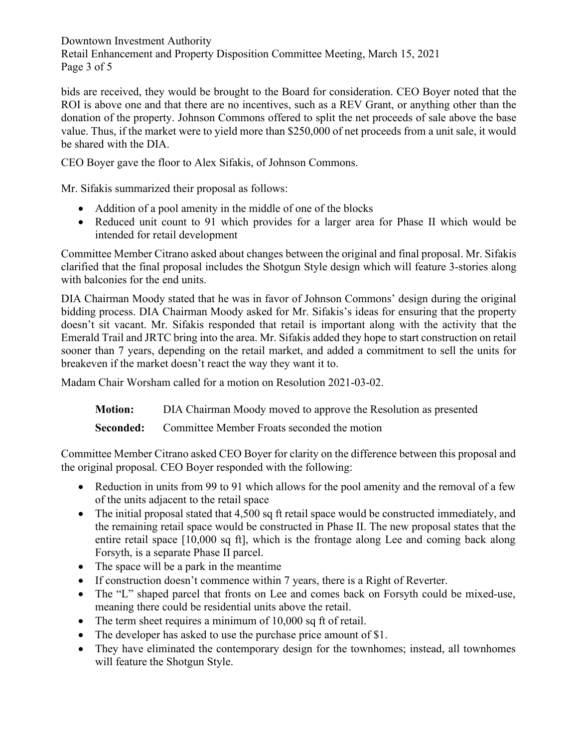Downtown Investment Authority Retail Enhancement and Property Disposition Committee Meeting, March 15, 2021 Page 3 of 5

bids are received, they would be brought to the Board for consideration. CEO Boyer noted that the ROI is above one and that there are no incentives, such as a REV Grant, or anything other than the donation of the property. Johnson Commons offered to split the net proceeds of sale above the base value. Thus, if the market were to yield more than \$250,000 of net proceeds from a unit sale, it would be shared with the DIA.

CEO Boyer gave the floor to Alex Sifakis, of Johnson Commons.

Mr. Sifakis summarized their proposal as follows:

- Addition of a pool amenity in the middle of one of the blocks
- Reduced unit count to 91 which provides for a larger area for Phase II which would be intended for retail development

Committee Member Citrano asked about changes between the original and final proposal. Mr. Sifakis clarified that the final proposal includes the Shotgun Style design which will feature 3-stories along with balconies for the end units.

DIA Chairman Moody stated that he was in favor of Johnson Commons' design during the original bidding process. DIA Chairman Moody asked for Mr. Sifakis's ideas for ensuring that the property doesn't sit vacant. Mr. Sifakis responded that retail is important along with the activity that the Emerald Trail and JRTC bring into the area. Mr. Sifakis added they hope to start construction on retail sooner than 7 years, depending on the retail market, and added a commitment to sell the units for breakeven if the market doesn't react the way they want it to.

Madam Chair Worsham called for a motion on Resolution 2021-03-02.

**Motion:** DIA Chairman Moody moved to approve the Resolution as presented

**Seconded:** Committee Member Froats seconded the motion

Committee Member Citrano asked CEO Boyer for clarity on the difference between this proposal and the original proposal. CEO Boyer responded with the following:

- Reduction in units from 99 to 91 which allows for the pool amenity and the removal of a few of the units adjacent to the retail space
- The initial proposal stated that 4,500 sq ft retail space would be constructed immediately, and the remaining retail space would be constructed in Phase II. The new proposal states that the entire retail space [10,000 sq ft], which is the frontage along Lee and coming back along Forsyth, is a separate Phase II parcel.
- The space will be a park in the meantime
- If construction doesn't commence within 7 years, there is a Right of Reverter.
- The "L" shaped parcel that fronts on Lee and comes back on Forsyth could be mixed-use, meaning there could be residential units above the retail.
- The term sheet requires a minimum of 10,000 sq ft of retail.
- The developer has asked to use the purchase price amount of \$1.
- They have eliminated the contemporary design for the townhomes; instead, all townhomes will feature the Shotgun Style.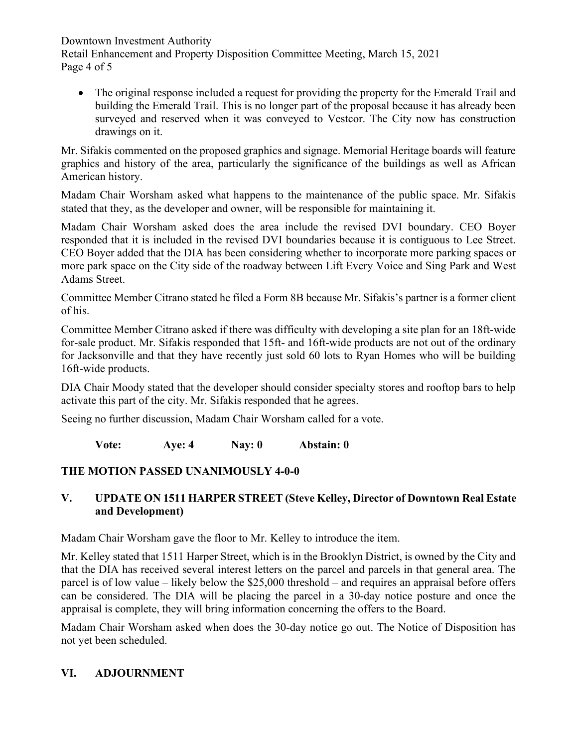Downtown Investment Authority

Retail Enhancement and Property Disposition Committee Meeting, March 15, 2021 Page 4 of 5

• The original response included a request for providing the property for the Emerald Trail and building the Emerald Trail. This is no longer part of the proposal because it has already been surveyed and reserved when it was conveyed to Vestcor. The City now has construction drawings on it.

Mr. Sifakis commented on the proposed graphics and signage. Memorial Heritage boards will feature graphics and history of the area, particularly the significance of the buildings as well as African American history.

Madam Chair Worsham asked what happens to the maintenance of the public space. Mr. Sifakis stated that they, as the developer and owner, will be responsible for maintaining it.

Madam Chair Worsham asked does the area include the revised DVI boundary. CEO Boyer responded that it is included in the revised DVI boundaries because it is contiguous to Lee Street. CEO Boyer added that the DIA has been considering whether to incorporate more parking spaces or more park space on the City side of the roadway between Lift Every Voice and Sing Park and West Adams Street.

Committee Member Citrano stated he filed a Form 8B because Mr. Sifakis's partner is a former client of his.

Committee Member Citrano asked if there was difficulty with developing a site plan for an 18ft-wide for-sale product. Mr. Sifakis responded that 15ft- and 16ft-wide products are not out of the ordinary for Jacksonville and that they have recently just sold 60 lots to Ryan Homes who will be building 16ft-wide products.

DIA Chair Moody stated that the developer should consider specialty stores and rooftop bars to help activate this part of the city. Mr. Sifakis responded that he agrees.

Seeing no further discussion, Madam Chair Worsham called for a vote.

**Vote: Aye: 4 Nay: 0 Abstain: 0**

# **THE MOTION PASSED UNANIMOUSLY 4-0-0**

### **V. UPDATE ON 1511 HARPER STREET (Steve Kelley, Director of Downtown Real Estate and Development)**

Madam Chair Worsham gave the floor to Mr. Kelley to introduce the item.

Mr. Kelley stated that 1511 Harper Street, which is in the Brooklyn District, is owned by the City and that the DIA has received several interest letters on the parcel and parcels in that general area. The parcel is of low value – likely below the \$25,000 threshold – and requires an appraisal before offers can be considered. The DIA will be placing the parcel in a 30-day notice posture and once the appraisal is complete, they will bring information concerning the offers to the Board.

Madam Chair Worsham asked when does the 30-day notice go out. The Notice of Disposition has not yet been scheduled.

# **VI. ADJOURNMENT**